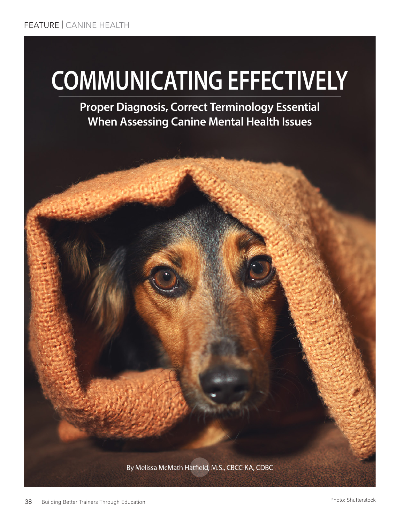# **COMMUNICATING EFFECTIVELY**

**Proper Diagnosis, Correct Terminology Essential When Assessing Canine Mental Health Issues**

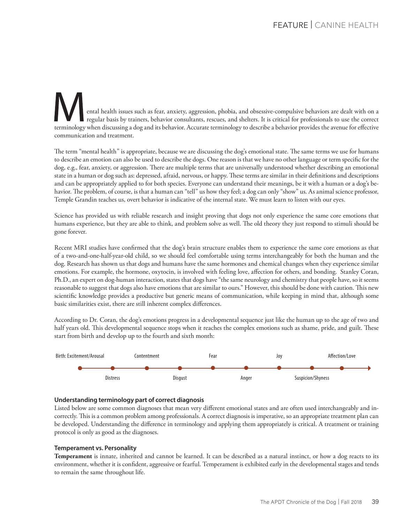ental health issues such as fear, anxiety, aggression, phobia, and obsessive-compulsive behaviors are dealt with on a regular basis by trainers, behavior consultants, rescues, and shelters. It is critical for professionals to use the correct terminology when discussing a dog and its behavior. Accurate terminology to describe a behavior provides the avenue for effective communication and treatment.

The term "mental health" is appropriate, because we are discussing the dog's emotional state. The same terms we use for humans to describe an emotion can also be used to describe the dogs. One reason is that we have no other language or term specific for the dog, e.g., fear, anxiety, or aggression. There are multiple terms that are universally understood whether describing an emotional state in a human or dog such as: depressed, afraid, nervous, or happy. These terms are similar in their definitions and descriptions and can be appropriately applied to for both species. Everyone can understand their meanings, be it with a human or a dog's behavior. The problem, of course, is that a human can "tell" us how they feel; a dog can only "show" us. As animal science professor, Temple Grandin teaches us, overt behavior is indicative of the internal state. We must learn to listen with our eyes.

Science has provided us with reliable research and insight proving that dogs not only experience the same core emotions that humans experience, but they are able to think, and problem solve as well. The old theory they just respond to stimuli should be gone forever.

Recent MRI studies have confirmed that the dog's brain structure enables them to experience the same core emotions as that of a two-and-one-half-year-old child, so we should feel comfortable using terms interchangeably for both the human and the dog. Research has shown us that dogs and humans have the same hormones and chemical changes when they experience similar emotions. For example, the hormone, oxytocin, is involved with feeling love, affection for others, and bonding. Stanley Coran, Ph.D., an expert on dog-human interaction, states that dogs have "the same neurology and chemistry that people have, so it seems reasonable to suggest that dogs also have emotions that are similar to ours." However, this should be done with caution. This new scientific knowledge provides a productive but generic means of communication, while keeping in mind that, although some basic similarities exist, there are still inherent complex differences.

According to Dr. Coran, the dog's emotions progress in a developmental sequence just like the human up to the age of two and half years old. This developmental sequence stops when it reaches the complex emotions such as shame, pride, and guilt. These start from birth and develop up to the fourth and sixth month:



## **Understanding terminology part of correct diagnosis**

Listed below are some common diagnoses that mean very different emotional states and are often used interchangeably and incorrectly. This is a common problem among professionals. A correct diagnosis is imperative, so an appropriate treatment plan can be developed. Understanding the difference in terminology and applying them appropriately is critical. A treatment or training protocol is only as good as the diagnoses.

## **Temperament vs. Personality**

**Temperament** is innate, inherited and cannot be learned. It can be described as a natural instinct, or how a dog reacts to its environment, whether it is confident, aggressive or fearful. Temperament is exhibited early in the developmental stages and tends to remain the same throughout life.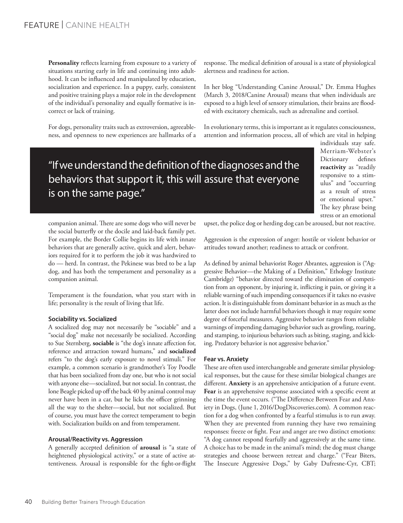**Personality** reflects learning from exposure to a variety of situations starting early in life and continuing into adulthood. It can be influenced and manipulated by education, socialization and experience. In a puppy, early, consistent and positive training plays a major role in the development of the individual's personality and equally formative is incorrect or lack of training.

For dogs, personality traits such as extroversion, agreeableness, and openness to new experiences are hallmarks of a response. The medical definition of arousal is a state of physiological alertness and readiness for action.

In her blog "Understanding Canine Arousal," Dr. Emma Hughes (March 3, 2018/Canine Arousal) means that when individuals are exposed to a high level of sensory stimulation, their brains are flooded with excitatory chemicals, such as adrenaline and cortisol.

In evolutionary terms, this is important as it regulates consciousness, attention and information process, all of which are vital in helping

"If we understand the definition of the diagnoses and the behaviors that support it, this will assure that everyone is on the same page."

individuals stay safe. Merriam-Webster's Dictionary defines **reactivity** as "readily responsive to a stimulus" and "occurring as a result of stress or emotional upset." The key phrase being stress or an emotional

companion animal. There are some dogs who will never be the social butterfly or the docile and laid-back family pet. For example, the Border Collie begins its life with innate behaviors that are generally active, quick and alert, behaviors required for it to perform the job it was hardwired to do — herd. In contrast, the Pekinese was bred to be a lap dog, and has both the temperament and personality as a companion animal.

Temperament is the foundation, what you start with in life; personality is the result of living that life.

## **Sociability vs. Socialized**

A socialized dog may not necessarily be "sociable" and a "social dog" make not necessarily be socialized. According to Sue Sternberg, **sociable** is "the dog's innate affection for, reference and attraction toward humans," and **socialized** refers "to the dog's early exposure to novel stimuli." For example, a common scenario is grandmother's Toy Poodle that has been socialized from day one, but who is not social with anyone else—socialized, but not social. In contrast, the lone Beagle picked up off the back 40 by animal control may never have been in a car, but he licks the officer grinning all the way to the shelter—social, but not socialized. But of course, you must have the correct temperament to begin with. Socialization builds on and from temperament.

## **Arousal/Reactivity vs. Aggression**

A generally accepted definition of **arousal** is "a state of heightened physiological activity," or a state of active attentiveness. Arousal is responsible for the fight-or-flight upset, the police dog or herding dog can be aroused, but not reactive.

Aggression is the expression of anger: hostile or violent behavior or attitudes toward another; readiness to attack or confront.

As defined by animal behaviorist Roger Abrantes, aggression is ("Aggressive Behavior—the Making of a Definition," Ethology Institute Cambridge) "behavior directed toward the elimination of competition from an opponent, by injuring it, inflicting it pain, or giving it a reliable warning of such impending consequences if it takes no evasive action. It is distinguishable from dominant behavior in as much as the latter does not include harmful behaviors though it may require some degree of forceful measures. Aggressive behavior ranges from reliable warnings of impending damaging behavior such as growling, roaring, and stamping, to injurious behaviors such as biting, staging, and kicking. Predatory behavior is not aggressive behavior.'

## **Fear vs. Anxiety**

These are often used interchangeable and generate similar physiological responses, but the cause for these similar biological changes are different. **Anxiety** is an apprehensive anticipation of a future event. **Fear** is an apprehensive response associated with a specific event at the time the event occurs. ("The Difference Between Fear and Anxiety in Dogs, (June 1, 2016/DogDiscoveries.com). A common reaction for a dog when confronted by a fearful stimulus is to run away. When they are prevented from running they have two remaining responses: freeze or fight. Fear and anger are two distinct emotions: "A dog cannot respond fearfully and aggressively at the same time. A choice has to be made in the animal's mind; the dog must change strategies and choose between retreat and charge." ("Fear Biters, The Insecure Aggressive Dogs," by Gaby Dufresne-Cyr, CBT;